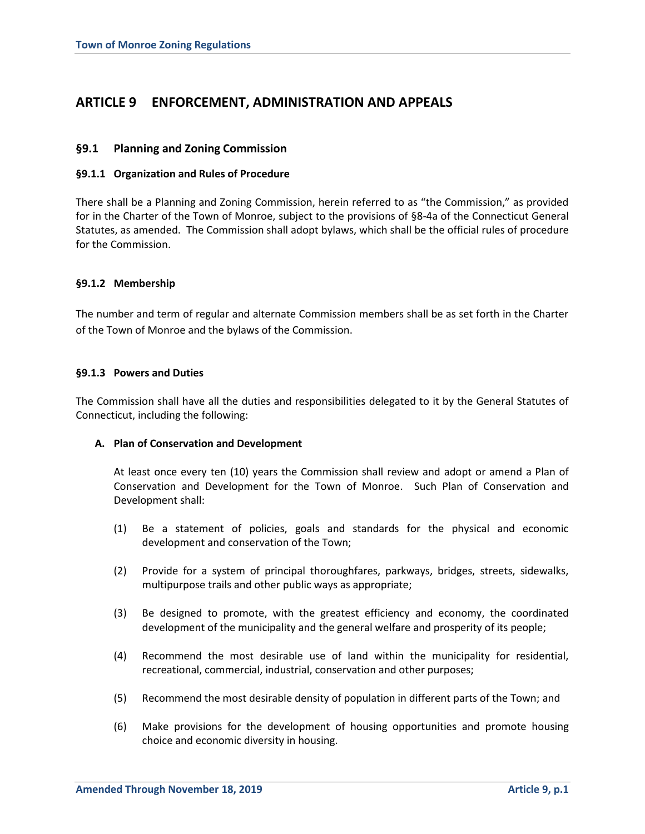# **ARTICLE 9 ENFORCEMENT, ADMINISTRATION AND APPEALS**

# **§9.1 Planning and Zoning Commission**

# **§9.1.1 Organization and Rules of Procedure**

There shall be a Planning and Zoning Commission, herein referred to as "the Commission," as provided for in the Charter of the Town of Monroe, subject to the provisions of §8-4a of the Connecticut General Statutes, as amended. The Commission shall adopt bylaws, which shall be the official rules of procedure for the Commission.

# **§9.1.2 Membership**

The number and term of regular and alternate Commission members shall be as set forth in the Charter of the Town of Monroe and the bylaws of the Commission.

# **§9.1.3 Powers and Duties**

The Commission shall have all the duties and responsibilities delegated to it by the General Statutes of Connecticut, including the following:

# **A. Plan of Conservation and Development**

At least once every ten (10) years the Commission shall review and adopt or amend a Plan of Conservation and Development for the Town of Monroe. Such Plan of Conservation and Development shall:

- (1) Be a statement of policies, goals and standards for the physical and economic development and conservation of the Town;
- (2) Provide for a system of principal thoroughfares, parkways, bridges, streets, sidewalks, multipurpose trails and other public ways as appropriate;
- (3) Be designed to promote, with the greatest efficiency and economy, the coordinated development of the municipality and the general welfare and prosperity of its people;
- (4) Recommend the most desirable use of land within the municipality for residential, recreational, commercial, industrial, conservation and other purposes;
- (5) Recommend the most desirable density of population in different parts of the Town; and
- (6) Make provisions for the development of housing opportunities and promote housing choice and economic diversity in housing.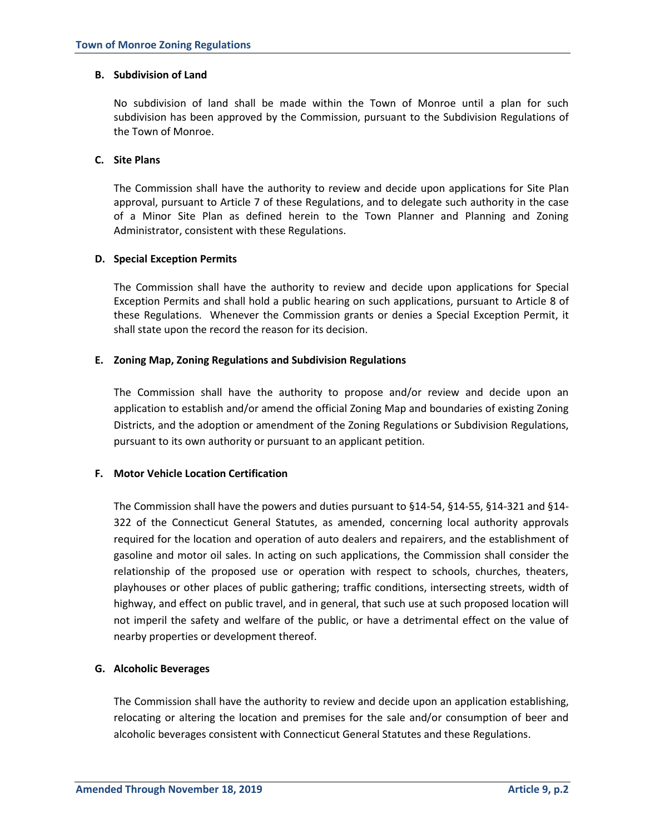### **B. Subdivision of Land**

No subdivision of land shall be made within the Town of Monroe until a plan for such subdivision has been approved by the Commission, pursuant to the Subdivision Regulations of the Town of Monroe.

# **C. Site Plans**

The Commission shall have the authority to review and decide upon applications for Site Plan approval, pursuant to Article 7 of these Regulations, and to delegate such authority in the case of a Minor Site Plan as defined herein to the Town Planner and Planning and Zoning Administrator, consistent with these Regulations.

# **D. Special Exception Permits**

The Commission shall have the authority to review and decide upon applications for Special Exception Permits and shall hold a public hearing on such applications, pursuant to Article 8 of these Regulations. Whenever the Commission grants or denies a Special Exception Permit, it shall state upon the record the reason for its decision.

# **E. Zoning Map, Zoning Regulations and Subdivision Regulations**

The Commission shall have the authority to propose and/or review and decide upon an application to establish and/or amend the official Zoning Map and boundaries of existing Zoning Districts, and the adoption or amendment of the Zoning Regulations or Subdivision Regulations, pursuant to its own authority or pursuant to an applicant petition.

# **F. Motor Vehicle Location Certification**

The Commission shall have the powers and duties pursuant to §14-54, §14-55, §14-321 and §14- 322 of the Connecticut General Statutes, as amended, concerning local authority approvals required for the location and operation of auto dealers and repairers, and the establishment of gasoline and motor oil sales. In acting on such applications, the Commission shall consider the relationship of the proposed use or operation with respect to schools, churches, theaters, playhouses or other places of public gathering; traffic conditions, intersecting streets, width of highway, and effect on public travel, and in general, that such use at such proposed location will not imperil the safety and welfare of the public, or have a detrimental effect on the value of nearby properties or development thereof.

# **G. Alcoholic Beverages**

The Commission shall have the authority to review and decide upon an application establishing, relocating or altering the location and premises for the sale and/or consumption of beer and alcoholic beverages consistent with Connecticut General Statutes and these Regulations.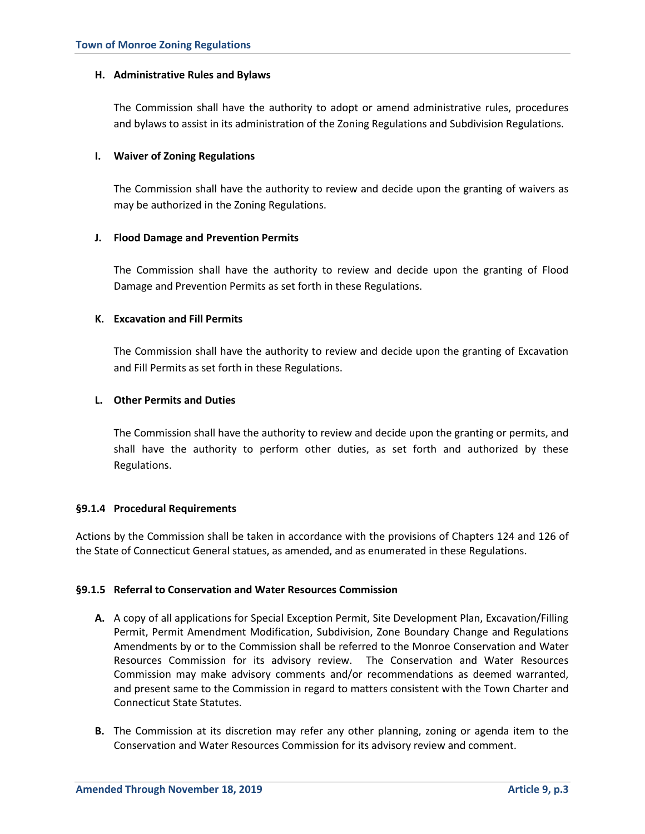# **H. Administrative Rules and Bylaws**

The Commission shall have the authority to adopt or amend administrative rules, procedures and bylaws to assist in its administration of the Zoning Regulations and Subdivision Regulations.

# **I. Waiver of Zoning Regulations**

The Commission shall have the authority to review and decide upon the granting of waivers as may be authorized in the Zoning Regulations.

# **J. Flood Damage and Prevention Permits**

The Commission shall have the authority to review and decide upon the granting of Flood Damage and Prevention Permits as set forth in these Regulations.

# **K. Excavation and Fill Permits**

The Commission shall have the authority to review and decide upon the granting of Excavation and Fill Permits as set forth in these Regulations.

# **L. Other Permits and Duties**

The Commission shall have the authority to review and decide upon the granting or permits, and shall have the authority to perform other duties, as set forth and authorized by these Regulations.

# **§9.1.4 Procedural Requirements**

Actions by the Commission shall be taken in accordance with the provisions of Chapters 124 and 126 of the State of Connecticut General statues, as amended, and as enumerated in these Regulations.

# **§9.1.5 Referral to Conservation and Water Resources Commission**

- **A.** A copy of all applications for Special Exception Permit, Site Development Plan, Excavation/Filling Permit, Permit Amendment Modification, Subdivision, Zone Boundary Change and Regulations Amendments by or to the Commission shall be referred to the Monroe Conservation and Water Resources Commission for its advisory review. The Conservation and Water Resources Commission may make advisory comments and/or recommendations as deemed warranted, and present same to the Commission in regard to matters consistent with the Town Charter and Connecticut State Statutes.
- **B.** The Commission at its discretion may refer any other planning, zoning or agenda item to the Conservation and Water Resources Commission for its advisory review and comment.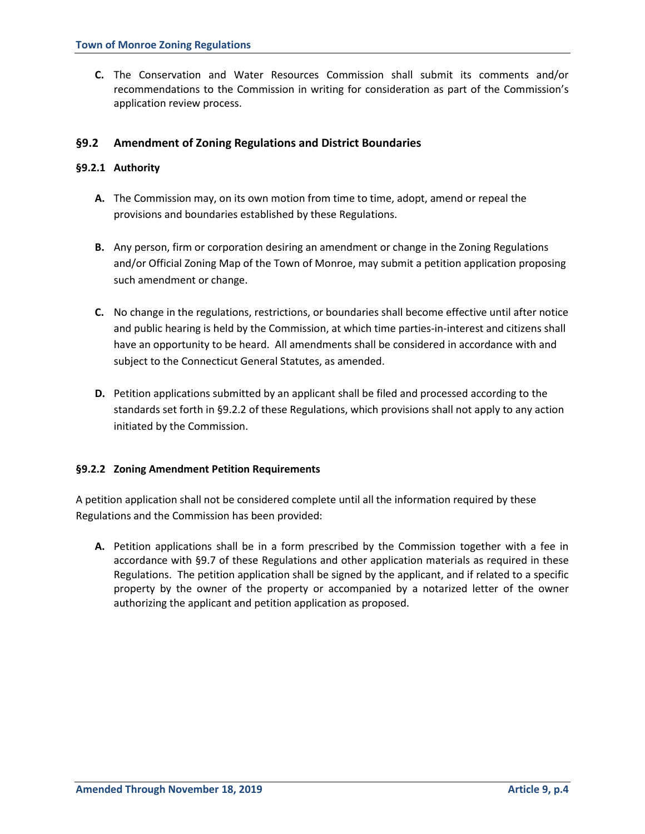**C.** The Conservation and Water Resources Commission shall submit its comments and/or recommendations to the Commission in writing for consideration as part of the Commission's application review process.

# **§9.2 Amendment of Zoning Regulations and District Boundaries**

# **§9.2.1 Authority**

- **A.** The Commission may, on its own motion from time to time, adopt, amend or repeal the provisions and boundaries established by these Regulations.
- **B.** Any person, firm or corporation desiring an amendment or change in the Zoning Regulations and/or Official Zoning Map of the Town of Monroe, may submit a petition application proposing such amendment or change.
- **C.** No change in the regulations, restrictions, or boundaries shall become effective until after notice and public hearing is held by the Commission, at which time parties-in-interest and citizens shall have an opportunity to be heard. All amendments shall be considered in accordance with and subject to the Connecticut General Statutes, as amended.
- **D.** Petition applications submitted by an applicant shall be filed and processed according to the standards set forth in §9.2.2 of these Regulations, which provisions shall not apply to any action initiated by the Commission.

# **§9.2.2 Zoning Amendment Petition Requirements**

A petition application shall not be considered complete until all the information required by these Regulations and the Commission has been provided:

**A.** Petition applications shall be in a form prescribed by the Commission together with a fee in accordance with §9.7 of these Regulations and other application materials as required in these Regulations. The petition application shall be signed by the applicant, and if related to a specific property by the owner of the property or accompanied by a notarized letter of the owner authorizing the applicant and petition application as proposed.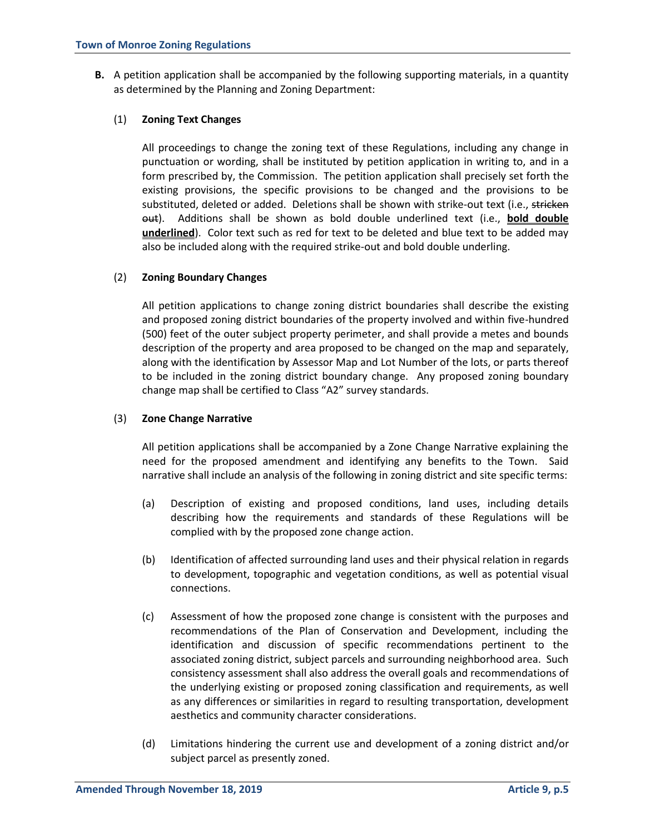**B.** A petition application shall be accompanied by the following supporting materials, in a quantity as determined by the Planning and Zoning Department:

# (1) **Zoning Text Changes**

All proceedings to change the zoning text of these Regulations, including any change in punctuation or wording, shall be instituted by petition application in writing to, and in a form prescribed by, the Commission. The petition application shall precisely set forth the existing provisions, the specific provisions to be changed and the provisions to be substituted, deleted or added. Deletions shall be shown with strike-out text (i.e., stricken out). Additions shall be shown as bold double underlined text (i.e., **bold double underlined**). Color text such as red for text to be deleted and blue text to be added may also be included along with the required strike-out and bold double underling.

# (2) **Zoning Boundary Changes**

All petition applications to change zoning district boundaries shall describe the existing and proposed zoning district boundaries of the property involved and within five-hundred (500) feet of the outer subject property perimeter, and shall provide a metes and bounds description of the property and area proposed to be changed on the map and separately, along with the identification by Assessor Map and Lot Number of the lots, or parts thereof to be included in the zoning district boundary change. Any proposed zoning boundary change map shall be certified to Class "A2" survey standards.

### (3) **Zone Change Narrative**

All petition applications shall be accompanied by a Zone Change Narrative explaining the need for the proposed amendment and identifying any benefits to the Town. Said narrative shall include an analysis of the following in zoning district and site specific terms:

- (a) Description of existing and proposed conditions, land uses, including details describing how the requirements and standards of these Regulations will be complied with by the proposed zone change action.
- (b) Identification of affected surrounding land uses and their physical relation in regards to development, topographic and vegetation conditions, as well as potential visual connections.
- (c) Assessment of how the proposed zone change is consistent with the purposes and recommendations of the Plan of Conservation and Development, including the identification and discussion of specific recommendations pertinent to the associated zoning district, subject parcels and surrounding neighborhood area. Such consistency assessment shall also address the overall goals and recommendations of the underlying existing or proposed zoning classification and requirements, as well as any differences or similarities in regard to resulting transportation, development aesthetics and community character considerations.
- (d) Limitations hindering the current use and development of a zoning district and/or subject parcel as presently zoned.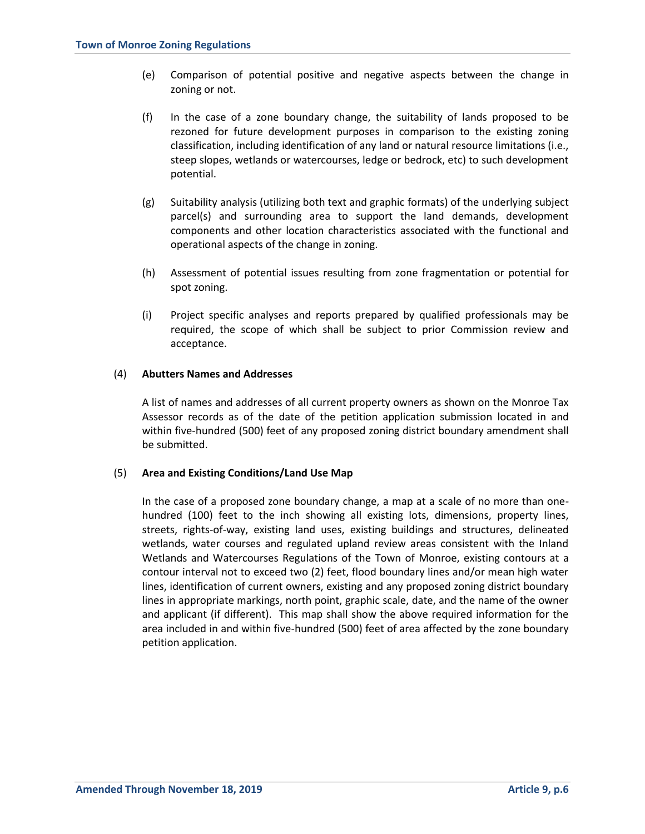- (e) Comparison of potential positive and negative aspects between the change in zoning or not.
- (f) In the case of a zone boundary change, the suitability of lands proposed to be rezoned for future development purposes in comparison to the existing zoning classification, including identification of any land or natural resource limitations (i.e., steep slopes, wetlands or watercourses, ledge or bedrock, etc) to such development potential.
- (g) Suitability analysis (utilizing both text and graphic formats) of the underlying subject parcel(s) and surrounding area to support the land demands, development components and other location characteristics associated with the functional and operational aspects of the change in zoning.
- (h) Assessment of potential issues resulting from zone fragmentation or potential for spot zoning.
- (i) Project specific analyses and reports prepared by qualified professionals may be required, the scope of which shall be subject to prior Commission review and acceptance.

# (4) **Abutters Names and Addresses**

A list of names and addresses of all current property owners as shown on the Monroe Tax Assessor records as of the date of the petition application submission located in and within five-hundred (500) feet of any proposed zoning district boundary amendment shall be submitted.

### (5) **Area and Existing Conditions/Land Use Map**

In the case of a proposed zone boundary change, a map at a scale of no more than onehundred (100) feet to the inch showing all existing lots, dimensions, property lines, streets, rights-of-way, existing land uses, existing buildings and structures, delineated wetlands, water courses and regulated upland review areas consistent with the Inland Wetlands and Watercourses Regulations of the Town of Monroe, existing contours at a contour interval not to exceed two (2) feet, flood boundary lines and/or mean high water lines, identification of current owners, existing and any proposed zoning district boundary lines in appropriate markings, north point, graphic scale, date, and the name of the owner and applicant (if different). This map shall show the above required information for the area included in and within five-hundred (500) feet of area affected by the zone boundary petition application.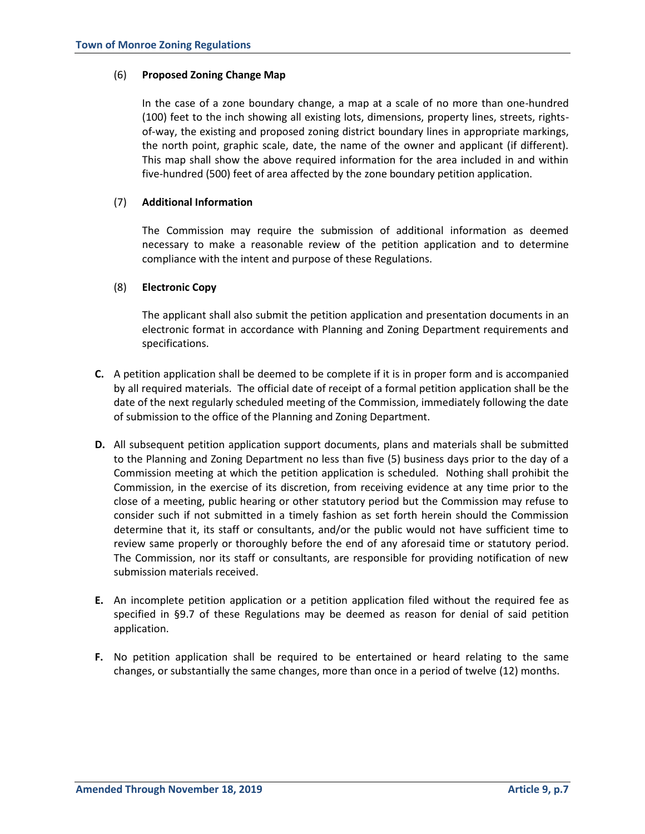# (6) **Proposed Zoning Change Map**

In the case of a zone boundary change, a map at a scale of no more than one-hundred (100) feet to the inch showing all existing lots, dimensions, property lines, streets, rightsof-way, the existing and proposed zoning district boundary lines in appropriate markings, the north point, graphic scale, date, the name of the owner and applicant (if different). This map shall show the above required information for the area included in and within five-hundred (500) feet of area affected by the zone boundary petition application.

# (7) **Additional Information**

The Commission may require the submission of additional information as deemed necessary to make a reasonable review of the petition application and to determine compliance with the intent and purpose of these Regulations.

# (8) **Electronic Copy**

The applicant shall also submit the petition application and presentation documents in an electronic format in accordance with Planning and Zoning Department requirements and specifications.

- **C.** A petition application shall be deemed to be complete if it is in proper form and is accompanied by all required materials. The official date of receipt of a formal petition application shall be the date of the next regularly scheduled meeting of the Commission, immediately following the date of submission to the office of the Planning and Zoning Department.
- **D.** All subsequent petition application support documents, plans and materials shall be submitted to the Planning and Zoning Department no less than five (5) business days prior to the day of a Commission meeting at which the petition application is scheduled. Nothing shall prohibit the Commission, in the exercise of its discretion, from receiving evidence at any time prior to the close of a meeting, public hearing or other statutory period but the Commission may refuse to consider such if not submitted in a timely fashion as set forth herein should the Commission determine that it, its staff or consultants, and/or the public would not have sufficient time to review same properly or thoroughly before the end of any aforesaid time or statutory period. The Commission, nor its staff or consultants, are responsible for providing notification of new submission materials received.
- **E.** An incomplete petition application or a petition application filed without the required fee as specified in §9.7 of these Regulations may be deemed as reason for denial of said petition application.
- **F.** No petition application shall be required to be entertained or heard relating to the same changes, or substantially the same changes, more than once in a period of twelve (12) months.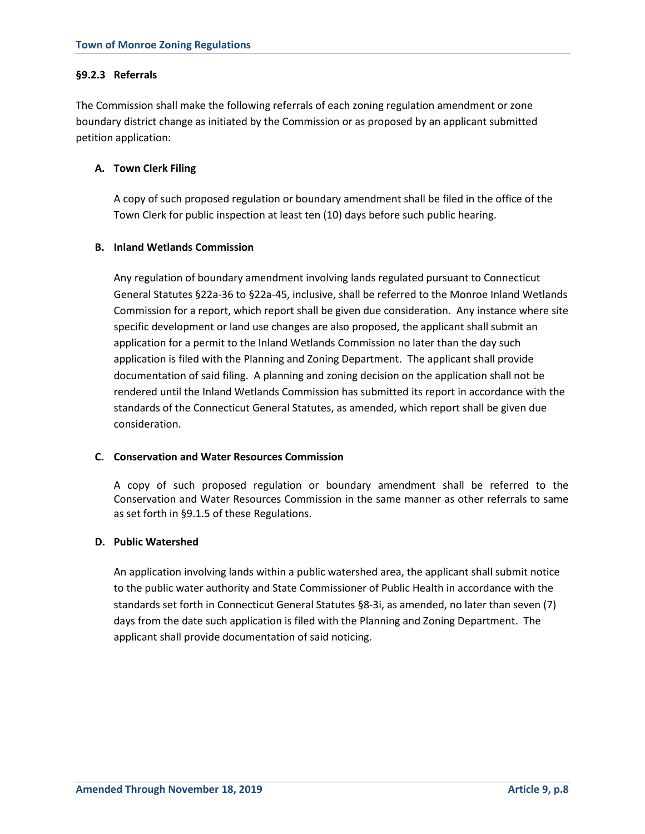# **§9.2.3 Referrals**

The Commission shall make the following referrals of each zoning regulation amendment or zone boundary district change as initiated by the Commission or as proposed by an applicant submitted petition application:

# **A. Town Clerk Filing**

A copy of such proposed regulation or boundary amendment shall be filed in the office of the Town Clerk for public inspection at least ten (10) days before such public hearing.

# **B. Inland Wetlands Commission**

Any regulation of boundary amendment involving lands regulated pursuant to Connecticut General Statutes §22a-36 to §22a-45, inclusive, shall be referred to the Monroe Inland Wetlands Commission for a report, which report shall be given due consideration. Any instance where site specific development or land use changes are also proposed, the applicant shall submit an application for a permit to the Inland Wetlands Commission no later than the day such application is filed with the Planning and Zoning Department. The applicant shall provide documentation of said filing. A planning and zoning decision on the application shall not be rendered until the Inland Wetlands Commission has submitted its report in accordance with the standards of the Connecticut General Statutes, as amended, which report shall be given due consideration.

# **C. Conservation and Water Resources Commission**

A copy of such proposed regulation or boundary amendment shall be referred to the Conservation and Water Resources Commission in the same manner as other referrals to same as set forth in §9.1.5 of these Regulations.

# **D. Public Watershed**

An application involving lands within a public watershed area, the applicant shall submit notice to the public water authority and State Commissioner of Public Health in accordance with the standards set forth in Connecticut General Statutes §8-3i, as amended, no later than seven (7) days from the date such application is filed with the Planning and Zoning Department. The applicant shall provide documentation of said noticing.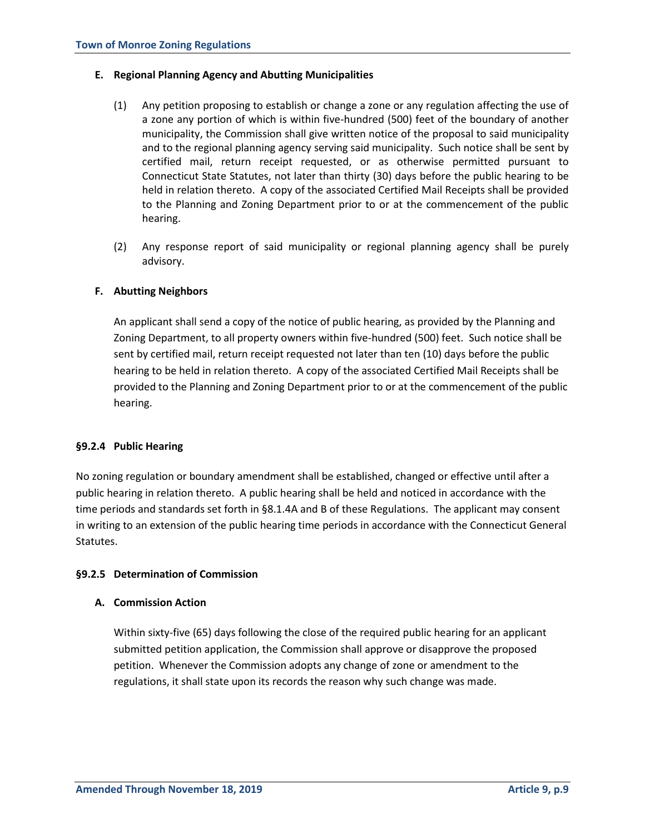# **E. Regional Planning Agency and Abutting Municipalities**

- (1) Any petition proposing to establish or change a zone or any regulation affecting the use of a zone any portion of which is within five-hundred (500) feet of the boundary of another municipality, the Commission shall give written notice of the proposal to said municipality and to the regional planning agency serving said municipality. Such notice shall be sent by certified mail, return receipt requested, or as otherwise permitted pursuant to Connecticut State Statutes, not later than thirty (30) days before the public hearing to be held in relation thereto. A copy of the associated Certified Mail Receipts shall be provided to the Planning and Zoning Department prior to or at the commencement of the public hearing.
- (2) Any response report of said municipality or regional planning agency shall be purely advisory.

# **F. Abutting Neighbors**

An applicant shall send a copy of the notice of public hearing, as provided by the Planning and Zoning Department, to all property owners within five-hundred (500) feet. Such notice shall be sent by certified mail, return receipt requested not later than ten (10) days before the public hearing to be held in relation thereto. A copy of the associated Certified Mail Receipts shall be provided to the Planning and Zoning Department prior to or at the commencement of the public hearing.

### **§9.2.4 Public Hearing**

No zoning regulation or boundary amendment shall be established, changed or effective until after a public hearing in relation thereto. A public hearing shall be held and noticed in accordance with the time periods and standards set forth in §8.1.4A and B of these Regulations. The applicant may consent in writing to an extension of the public hearing time periods in accordance with the Connecticut General Statutes.

# **§9.2.5 Determination of Commission**

# **A. Commission Action**

Within sixty-five (65) days following the close of the required public hearing for an applicant submitted petition application, the Commission shall approve or disapprove the proposed petition. Whenever the Commission adopts any change of zone or amendment to the regulations, it shall state upon its records the reason why such change was made.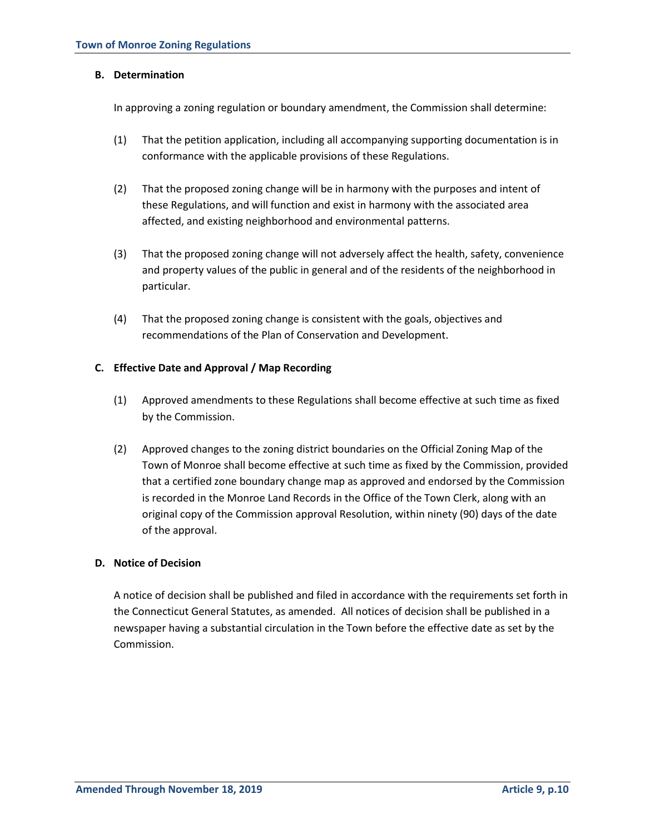# **B. Determination**

In approving a zoning regulation or boundary amendment, the Commission shall determine:

- (1) That the petition application, including all accompanying supporting documentation is in conformance with the applicable provisions of these Regulations.
- (2) That the proposed zoning change will be in harmony with the purposes and intent of these Regulations, and will function and exist in harmony with the associated area affected, and existing neighborhood and environmental patterns.
- (3) That the proposed zoning change will not adversely affect the health, safety, convenience and property values of the public in general and of the residents of the neighborhood in particular.
- (4) That the proposed zoning change is consistent with the goals, objectives and recommendations of the Plan of Conservation and Development.

# **C. Effective Date and Approval / Map Recording**

- (1) Approved amendments to these Regulations shall become effective at such time as fixed by the Commission.
- (2) Approved changes to the zoning district boundaries on the Official Zoning Map of the Town of Monroe shall become effective at such time as fixed by the Commission, provided that a certified zone boundary change map as approved and endorsed by the Commission is recorded in the Monroe Land Records in the Office of the Town Clerk, along with an original copy of the Commission approval Resolution, within ninety (90) days of the date of the approval.

# **D. Notice of Decision**

A notice of decision shall be published and filed in accordance with the requirements set forth in the Connecticut General Statutes, as amended. All notices of decision shall be published in a newspaper having a substantial circulation in the Town before the effective date as set by the Commission.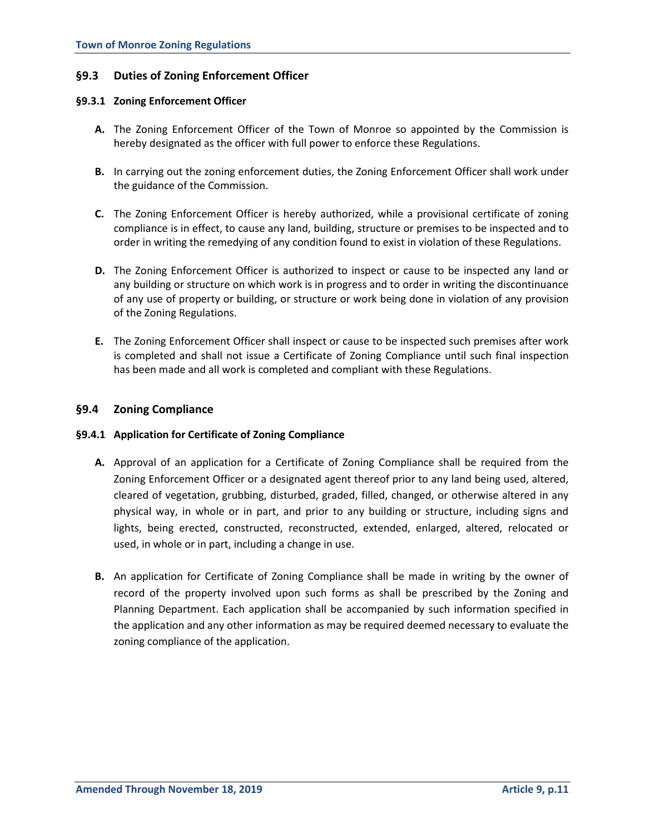# **§9.3 Duties of Zoning Enforcement Officer**

# **§9.3.1 Zoning Enforcement Officer**

- **A.** The Zoning Enforcement Officer of the Town of Monroe so appointed by the Commission is hereby designated as the officer with full power to enforce these Regulations.
- **B.** In carrying out the zoning enforcement duties, the Zoning Enforcement Officer shall work under the guidance of the Commission.
- **C.** The Zoning Enforcement Officer is hereby authorized, while a provisional certificate of zoning compliance is in effect, to cause any land, building, structure or premises to be inspected and to order in writing the remedying of any condition found to exist in violation of these Regulations.
- **D.** The Zoning Enforcement Officer is authorized to inspect or cause to be inspected any land or any building or structure on which work is in progress and to order in writing the discontinuance of any use of property or building, or structure or work being done in violation of any provision of the Zoning Regulations.
- **E.** The Zoning Enforcement Officer shall inspect or cause to be inspected such premises after work is completed and shall not issue a Certificate of Zoning Compliance until such final inspection has been made and all work is completed and compliant with these Regulations.

# **§9.4 Zoning Compliance**

### **§9.4.1 Application for Certificate of Zoning Compliance**

- **A.** Approval of an application for a Certificate of Zoning Compliance shall be required from the Zoning Enforcement Officer or a designated agent thereof prior to any land being used, altered, cleared of vegetation, grubbing, disturbed, graded, filled, changed, or otherwise altered in any physical way, in whole or in part, and prior to any building or structure, including signs and lights, being erected, constructed, reconstructed, extended, enlarged, altered, relocated or used, in whole or in part, including a change in use.
- **B.** An application for Certificate of Zoning Compliance shall be made in writing by the owner of record of the property involved upon such forms as shall be prescribed by the Zoning and Planning Department. Each application shall be accompanied by such information specified in the application and any other information as may be required deemed necessary to evaluate the zoning compliance of the application.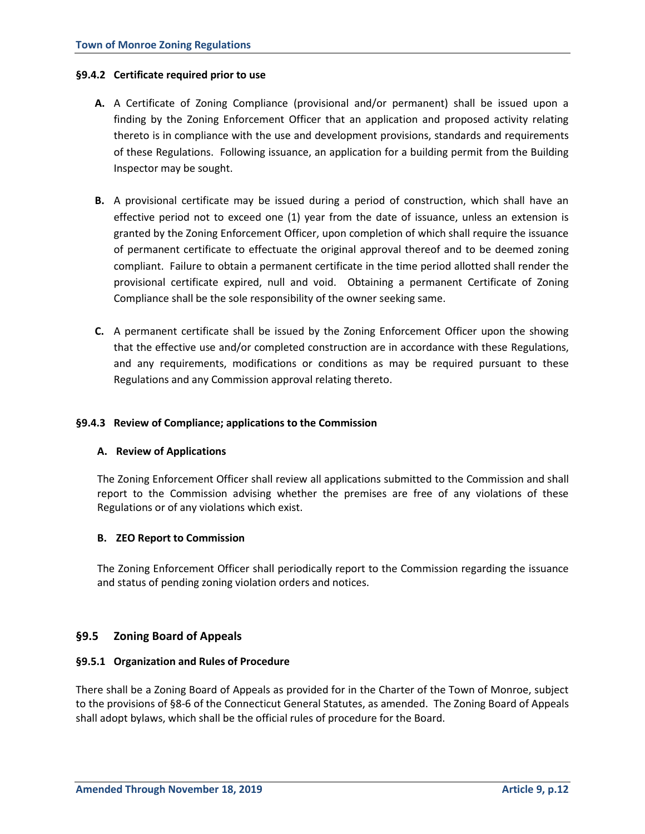### **§9.4.2 Certificate required prior to use**

- **A.** A Certificate of Zoning Compliance (provisional and/or permanent) shall be issued upon a finding by the Zoning Enforcement Officer that an application and proposed activity relating thereto is in compliance with the use and development provisions, standards and requirements of these Regulations. Following issuance, an application for a building permit from the Building Inspector may be sought.
- **B.** A provisional certificate may be issued during a period of construction, which shall have an effective period not to exceed one (1) year from the date of issuance, unless an extension is granted by the Zoning Enforcement Officer, upon completion of which shall require the issuance of permanent certificate to effectuate the original approval thereof and to be deemed zoning compliant. Failure to obtain a permanent certificate in the time period allotted shall render the provisional certificate expired, null and void. Obtaining a permanent Certificate of Zoning Compliance shall be the sole responsibility of the owner seeking same.
- **C.** A permanent certificate shall be issued by the Zoning Enforcement Officer upon the showing that the effective use and/or completed construction are in accordance with these Regulations, and any requirements, modifications or conditions as may be required pursuant to these Regulations and any Commission approval relating thereto.

# **§9.4.3 Review of Compliance; applications to the Commission**

### **A. Review of Applications**

The Zoning Enforcement Officer shall review all applications submitted to the Commission and shall report to the Commission advising whether the premises are free of any violations of these Regulations or of any violations which exist.

### **B. ZEO Report to Commission**

The Zoning Enforcement Officer shall periodically report to the Commission regarding the issuance and status of pending zoning violation orders and notices.

# **§9.5 Zoning Board of Appeals**

### **§9.5.1 Organization and Rules of Procedure**

There shall be a Zoning Board of Appeals as provided for in the Charter of the Town of Monroe, subject to the provisions of §8-6 of the Connecticut General Statutes, as amended. The Zoning Board of Appeals shall adopt bylaws, which shall be the official rules of procedure for the Board.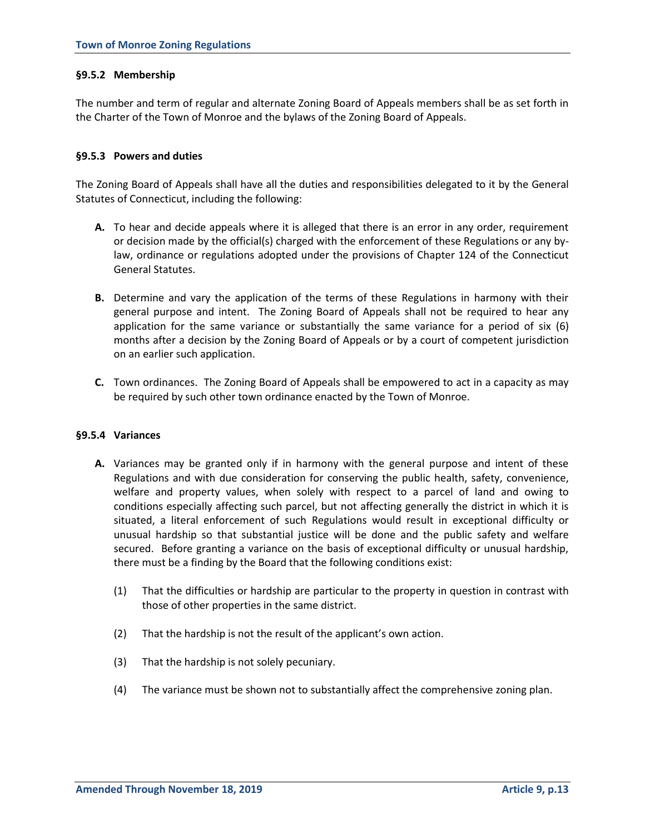# **§9.5.2 Membership**

The number and term of regular and alternate Zoning Board of Appeals members shall be as set forth in the Charter of the Town of Monroe and the bylaws of the Zoning Board of Appeals.

### **§9.5.3 Powers and duties**

The Zoning Board of Appeals shall have all the duties and responsibilities delegated to it by the General Statutes of Connecticut, including the following:

- **A.** To hear and decide appeals where it is alleged that there is an error in any order, requirement or decision made by the official(s) charged with the enforcement of these Regulations or any bylaw, ordinance or regulations adopted under the provisions of Chapter 124 of the Connecticut General Statutes.
- **B.** Determine and vary the application of the terms of these Regulations in harmony with their general purpose and intent. The Zoning Board of Appeals shall not be required to hear any application for the same variance or substantially the same variance for a period of six (6) months after a decision by the Zoning Board of Appeals or by a court of competent jurisdiction on an earlier such application.
- **C.** Town ordinances. The Zoning Board of Appeals shall be empowered to act in a capacity as may be required by such other town ordinance enacted by the Town of Monroe.

### **§9.5.4 Variances**

- **A.** Variances may be granted only if in harmony with the general purpose and intent of these Regulations and with due consideration for conserving the public health, safety, convenience, welfare and property values, when solely with respect to a parcel of land and owing to conditions especially affecting such parcel, but not affecting generally the district in which it is situated, a literal enforcement of such Regulations would result in exceptional difficulty or unusual hardship so that substantial justice will be done and the public safety and welfare secured. Before granting a variance on the basis of exceptional difficulty or unusual hardship, there must be a finding by the Board that the following conditions exist:
	- (1) That the difficulties or hardship are particular to the property in question in contrast with those of other properties in the same district.
	- (2) That the hardship is not the result of the applicant's own action.
	- (3) That the hardship is not solely pecuniary.
	- (4) The variance must be shown not to substantially affect the comprehensive zoning plan.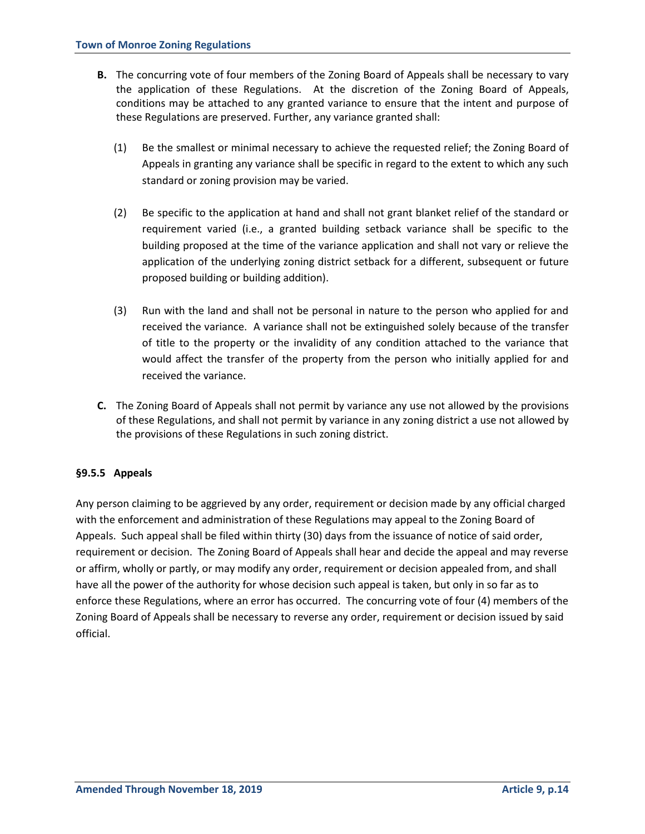- **B.** The concurring vote of four members of the Zoning Board of Appeals shall be necessary to vary the application of these Regulations. At the discretion of the Zoning Board of Appeals, conditions may be attached to any granted variance to ensure that the intent and purpose of these Regulations are preserved. Further, any variance granted shall:
	- (1) Be the smallest or minimal necessary to achieve the requested relief; the Zoning Board of Appeals in granting any variance shall be specific in regard to the extent to which any such standard or zoning provision may be varied.
	- (2) Be specific to the application at hand and shall not grant blanket relief of the standard or requirement varied (i.e., a granted building setback variance shall be specific to the building proposed at the time of the variance application and shall not vary or relieve the application of the underlying zoning district setback for a different, subsequent or future proposed building or building addition).
	- (3) Run with the land and shall not be personal in nature to the person who applied for and received the variance. A variance shall not be extinguished solely because of the transfer of title to the property or the invalidity of any condition attached to the variance that would affect the transfer of the property from the person who initially applied for and received the variance.
- **C.** The Zoning Board of Appeals shall not permit by variance any use not allowed by the provisions of these Regulations, and shall not permit by variance in any zoning district a use not allowed by the provisions of these Regulations in such zoning district.

# **§9.5.5 Appeals**

Any person claiming to be aggrieved by any order, requirement or decision made by any official charged with the enforcement and administration of these Regulations may appeal to the Zoning Board of Appeals. Such appeal shall be filed within thirty (30) days from the issuance of notice of said order, requirement or decision. The Zoning Board of Appeals shall hear and decide the appeal and may reverse or affirm, wholly or partly, or may modify any order, requirement or decision appealed from, and shall have all the power of the authority for whose decision such appeal is taken, but only in so far as to enforce these Regulations, where an error has occurred. The concurring vote of four (4) members of the Zoning Board of Appeals shall be necessary to reverse any order, requirement or decision issued by said official.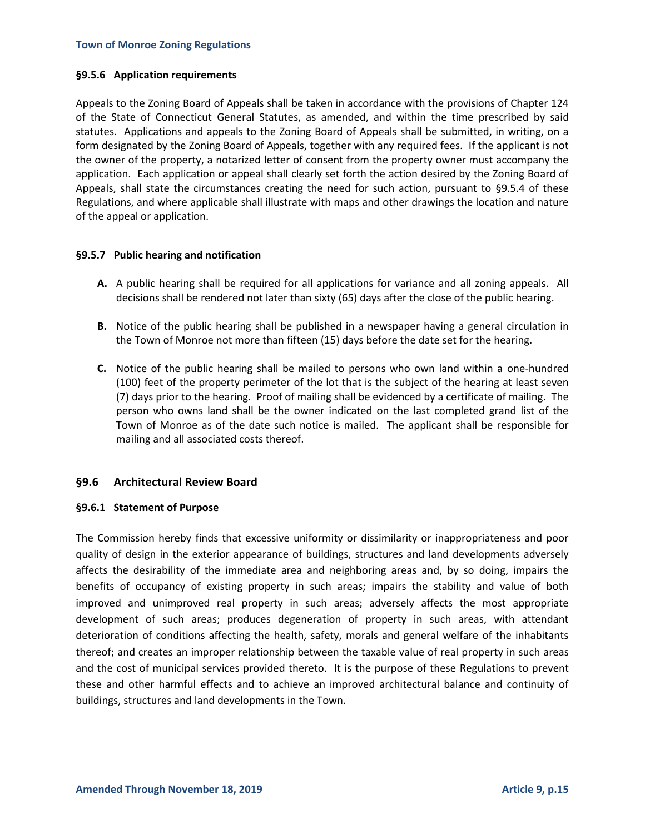# **§9.5.6 Application requirements**

Appeals to the Zoning Board of Appeals shall be taken in accordance with the provisions of Chapter 124 of the State of Connecticut General Statutes, as amended, and within the time prescribed by said statutes. Applications and appeals to the Zoning Board of Appeals shall be submitted, in writing, on a form designated by the Zoning Board of Appeals, together with any required fees. If the applicant is not the owner of the property, a notarized letter of consent from the property owner must accompany the application. Each application or appeal shall clearly set forth the action desired by the Zoning Board of Appeals, shall state the circumstances creating the need for such action, pursuant to §9.5.4 of these Regulations, and where applicable shall illustrate with maps and other drawings the location and nature of the appeal or application.

# **§9.5.7 Public hearing and notification**

- **A.** A public hearing shall be required for all applications for variance and all zoning appeals. All decisions shall be rendered not later than sixty (65) days after the close of the public hearing.
- **B.** Notice of the public hearing shall be published in a newspaper having a general circulation in the Town of Monroe not more than fifteen (15) days before the date set for the hearing.
- **C.** Notice of the public hearing shall be mailed to persons who own land within a one-hundred (100) feet of the property perimeter of the lot that is the subject of the hearing at least seven (7) days prior to the hearing. Proof of mailing shall be evidenced by a certificate of mailing. The person who owns land shall be the owner indicated on the last completed grand list of the Town of Monroe as of the date such notice is mailed. The applicant shall be responsible for mailing and all associated costs thereof.

# **§9.6 Architectural Review Board**

### **§9.6.1 Statement of Purpose**

The Commission hereby finds that excessive uniformity or dissimilarity or inappropriateness and poor quality of design in the exterior appearance of buildings, structures and land developments adversely affects the desirability of the immediate area and neighboring areas and, by so doing, impairs the benefits of occupancy of existing property in such areas; impairs the stability and value of both improved and unimproved real property in such areas; adversely affects the most appropriate development of such areas; produces degeneration of property in such areas, with attendant deterioration of conditions affecting the health, safety, morals and general welfare of the inhabitants thereof; and creates an improper relationship between the taxable value of real property in such areas and the cost of municipal services provided thereto. It is the purpose of these Regulations to prevent these and other harmful effects and to achieve an improved architectural balance and continuity of buildings, structures and land developments in the Town.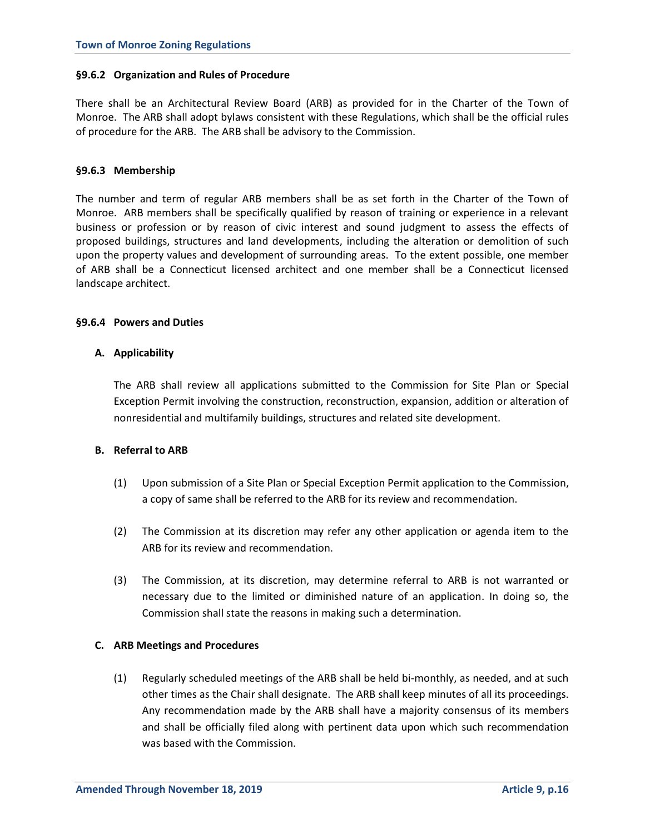# **§9.6.2 Organization and Rules of Procedure**

There shall be an Architectural Review Board (ARB) as provided for in the Charter of the Town of Monroe. The ARB shall adopt bylaws consistent with these Regulations, which shall be the official rules of procedure for the ARB. The ARB shall be advisory to the Commission.

# **§9.6.3 Membership**

The number and term of regular ARB members shall be as set forth in the Charter of the Town of Monroe. ARB members shall be specifically qualified by reason of training or experience in a relevant business or profession or by reason of civic interest and sound judgment to assess the effects of proposed buildings, structures and land developments, including the alteration or demolition of such upon the property values and development of surrounding areas. To the extent possible, one member of ARB shall be a Connecticut licensed architect and one member shall be a Connecticut licensed landscape architect.

# **§9.6.4 Powers and Duties**

# **A. Applicability**

The ARB shall review all applications submitted to the Commission for Site Plan or Special Exception Permit involving the construction, reconstruction, expansion, addition or alteration of nonresidential and multifamily buildings, structures and related site development.

# **B. Referral to ARB**

- (1) Upon submission of a Site Plan or Special Exception Permit application to the Commission, a copy of same shall be referred to the ARB for its review and recommendation.
- (2) The Commission at its discretion may refer any other application or agenda item to the ARB for its review and recommendation.
- (3) The Commission, at its discretion, may determine referral to ARB is not warranted or necessary due to the limited or diminished nature of an application. In doing so, the Commission shall state the reasons in making such a determination.

### **C. ARB Meetings and Procedures**

(1) Regularly scheduled meetings of the ARB shall be held bi-monthly, as needed, and at such other times as the Chair shall designate. The ARB shall keep minutes of all its proceedings. Any recommendation made by the ARB shall have a majority consensus of its members and shall be officially filed along with pertinent data upon which such recommendation was based with the Commission.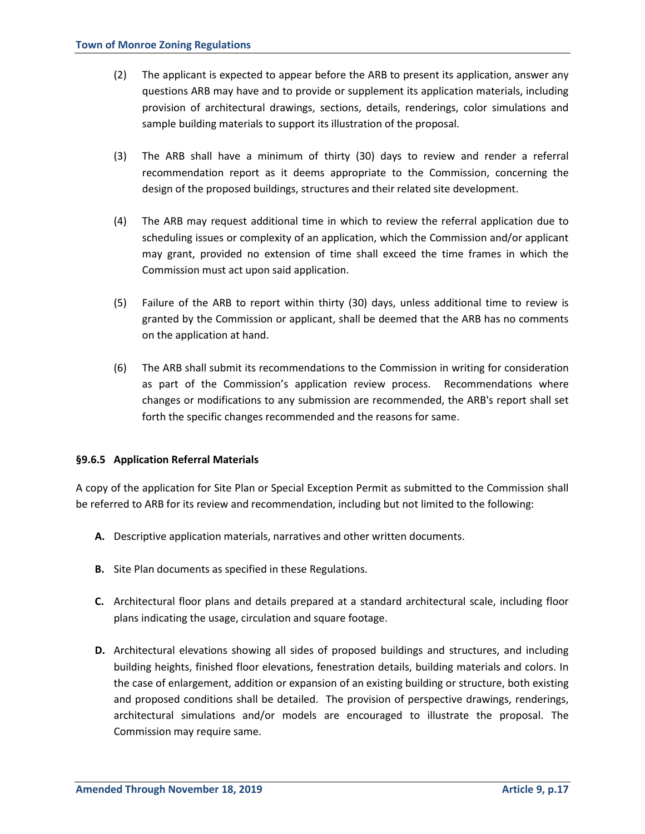- (2) The applicant is expected to appear before the ARB to present its application, answer any questions ARB may have and to provide or supplement its application materials, including provision of architectural drawings, sections, details, renderings, color simulations and sample building materials to support its illustration of the proposal.
- (3) The ARB shall have a minimum of thirty (30) days to review and render a referral recommendation report as it deems appropriate to the Commission, concerning the design of the proposed buildings, structures and their related site development.
- (4) The ARB may request additional time in which to review the referral application due to scheduling issues or complexity of an application, which the Commission and/or applicant may grant, provided no extension of time shall exceed the time frames in which the Commission must act upon said application.
- (5) Failure of the ARB to report within thirty (30) days, unless additional time to review is granted by the Commission or applicant, shall be deemed that the ARB has no comments on the application at hand.
- (6) The ARB shall submit its recommendations to the Commission in writing for consideration as part of the Commission's application review process. Recommendations where changes or modifications to any submission are recommended, the ARB's report shall set forth the specific changes recommended and the reasons for same.

# **§9.6.5 Application Referral Materials**

A copy of the application for Site Plan or Special Exception Permit as submitted to the Commission shall be referred to ARB for its review and recommendation, including but not limited to the following:

- **A.** Descriptive application materials, narratives and other written documents.
- **B.** Site Plan documents as specified in these Regulations.
- **C.** Architectural floor plans and details prepared at a standard architectural scale, including floor plans indicating the usage, circulation and square footage.
- **D.** Architectural elevations showing all sides of proposed buildings and structures, and including building heights, finished floor elevations, fenestration details, building materials and colors. In the case of enlargement, addition or expansion of an existing building or structure, both existing and proposed conditions shall be detailed. The provision of perspective drawings, renderings, architectural simulations and/or models are encouraged to illustrate the proposal. The Commission may require same.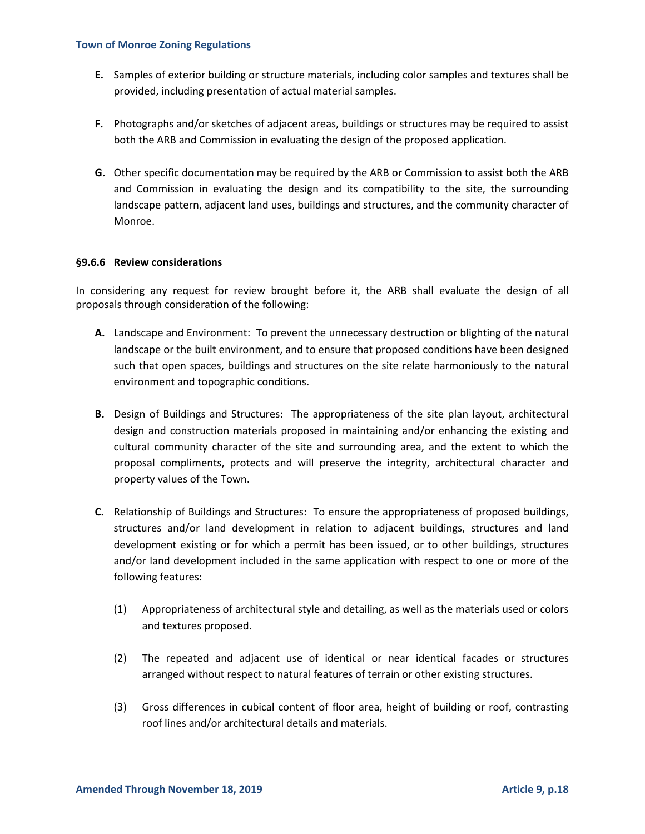- **E.** Samples of exterior building or structure materials, including color samples and textures shall be provided, including presentation of actual material samples.
- **F.** Photographs and/or sketches of adjacent areas, buildings or structures may be required to assist both the ARB and Commission in evaluating the design of the proposed application.
- **G.** Other specific documentation may be required by the ARB or Commission to assist both the ARB and Commission in evaluating the design and its compatibility to the site, the surrounding landscape pattern, adjacent land uses, buildings and structures, and the community character of Monroe.

# **§9.6.6 Review considerations**

In considering any request for review brought before it, the ARB shall evaluate the design of all proposals through consideration of the following:

- **A.** Landscape and Environment: To prevent the unnecessary destruction or blighting of the natural landscape or the built environment, and to ensure that proposed conditions have been designed such that open spaces, buildings and structures on the site relate harmoniously to the natural environment and topographic conditions.
- **B.** Design of Buildings and Structures: The appropriateness of the site plan layout, architectural design and construction materials proposed in maintaining and/or enhancing the existing and cultural community character of the site and surrounding area, and the extent to which the proposal compliments, protects and will preserve the integrity, architectural character and property values of the Town.
- **C.** Relationship of Buildings and Structures: To ensure the appropriateness of proposed buildings, structures and/or land development in relation to adjacent buildings, structures and land development existing or for which a permit has been issued, or to other buildings, structures and/or land development included in the same application with respect to one or more of the following features:
	- (1) Appropriateness of architectural style and detailing, as well as the materials used or colors and textures proposed.
	- (2) The repeated and adjacent use of identical or near identical facades or structures arranged without respect to natural features of terrain or other existing structures.
	- (3) Gross differences in cubical content of floor area, height of building or roof, contrasting roof lines and/or architectural details and materials.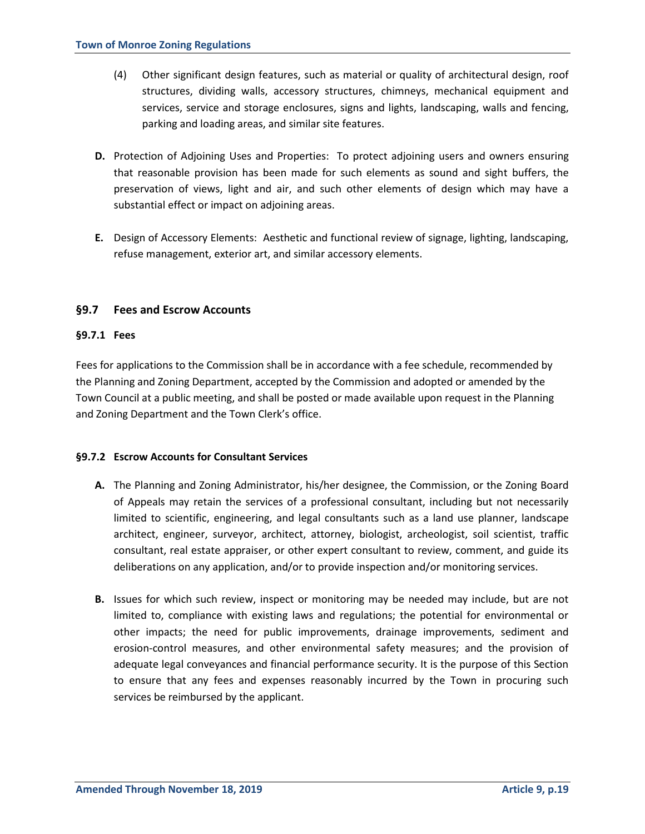- (4) Other significant design features, such as material or quality of architectural design, roof structures, dividing walls, accessory structures, chimneys, mechanical equipment and services, service and storage enclosures, signs and lights, landscaping, walls and fencing, parking and loading areas, and similar site features.
- **D.** Protection of Adjoining Uses and Properties: To protect adjoining users and owners ensuring that reasonable provision has been made for such elements as sound and sight buffers, the preservation of views, light and air, and such other elements of design which may have a substantial effect or impact on adjoining areas.
- **E.** Design of Accessory Elements: Aesthetic and functional review of signage, lighting, landscaping, refuse management, exterior art, and similar accessory elements.

# **§9.7 Fees and Escrow Accounts**

# **§9.7.1 Fees**

Fees for applications to the Commission shall be in accordance with a fee schedule, recommended by the Planning and Zoning Department, accepted by the Commission and adopted or amended by the Town Council at a public meeting, and shall be posted or made available upon request in the Planning and Zoning Department and the Town Clerk's office.

# **§9.7.2 Escrow Accounts for Consultant Services**

- **A.** The Planning and Zoning Administrator, his/her designee, the Commission, or the Zoning Board of Appeals may retain the services of a professional consultant, including but not necessarily limited to scientific, engineering, and legal consultants such as a land use planner, landscape architect, engineer, surveyor, architect, attorney, biologist, archeologist, soil scientist, traffic consultant, real estate appraiser, or other expert consultant to review, comment, and guide its deliberations on any application, and/or to provide inspection and/or monitoring services.
- **B.** Issues for which such review, inspect or monitoring may be needed may include, but are not limited to, compliance with existing laws and regulations; the potential for environmental or other impacts; the need for public improvements, drainage improvements, sediment and erosion-control measures, and other environmental safety measures; and the provision of adequate legal conveyances and financial performance security. It is the purpose of this Section to ensure that any fees and expenses reasonably incurred by the Town in procuring such services be reimbursed by the applicant.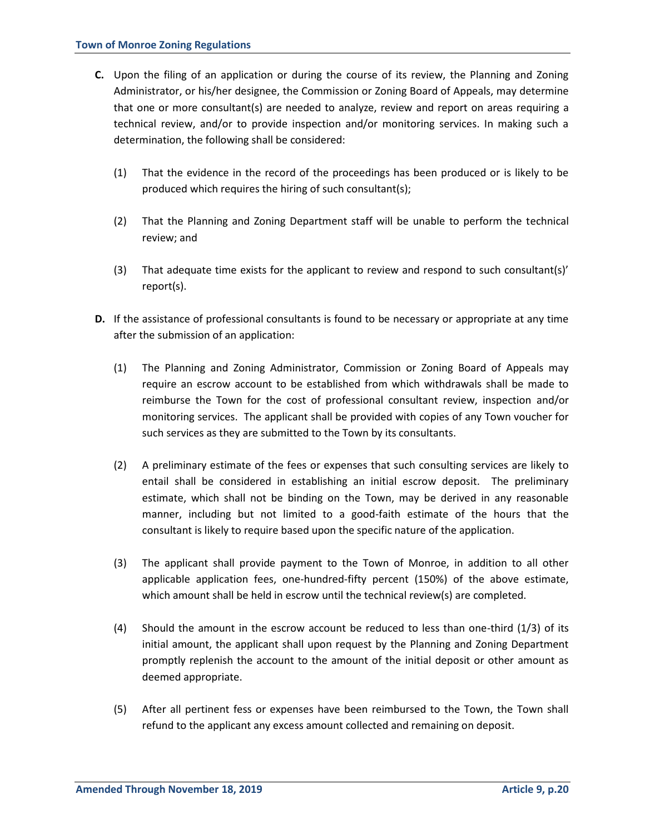- **C.** Upon the filing of an application or during the course of its review, the Planning and Zoning Administrator, or his/her designee, the Commission or Zoning Board of Appeals, may determine that one or more consultant(s) are needed to analyze, review and report on areas requiring a technical review, and/or to provide inspection and/or monitoring services. In making such a determination, the following shall be considered:
	- (1) That the evidence in the record of the proceedings has been produced or is likely to be produced which requires the hiring of such consultant(s);
	- (2) That the Planning and Zoning Department staff will be unable to perform the technical review; and
	- (3) That adequate time exists for the applicant to review and respond to such consultant(s)' report(s).
- **D.** If the assistance of professional consultants is found to be necessary or appropriate at any time after the submission of an application:
	- (1) The Planning and Zoning Administrator, Commission or Zoning Board of Appeals may require an escrow account to be established from which withdrawals shall be made to reimburse the Town for the cost of professional consultant review, inspection and/or monitoring services. The applicant shall be provided with copies of any Town voucher for such services as they are submitted to the Town by its consultants.
	- (2) A preliminary estimate of the fees or expenses that such consulting services are likely to entail shall be considered in establishing an initial escrow deposit. The preliminary estimate, which shall not be binding on the Town, may be derived in any reasonable manner, including but not limited to a good-faith estimate of the hours that the consultant is likely to require based upon the specific nature of the application.
	- (3) The applicant shall provide payment to the Town of Monroe, in addition to all other applicable application fees, one-hundred-fifty percent (150%) of the above estimate, which amount shall be held in escrow until the technical review(s) are completed.
	- (4) Should the amount in the escrow account be reduced to less than one-third (1/3) of its initial amount, the applicant shall upon request by the Planning and Zoning Department promptly replenish the account to the amount of the initial deposit or other amount as deemed appropriate.
	- (5) After all pertinent fess or expenses have been reimbursed to the Town, the Town shall refund to the applicant any excess amount collected and remaining on deposit.